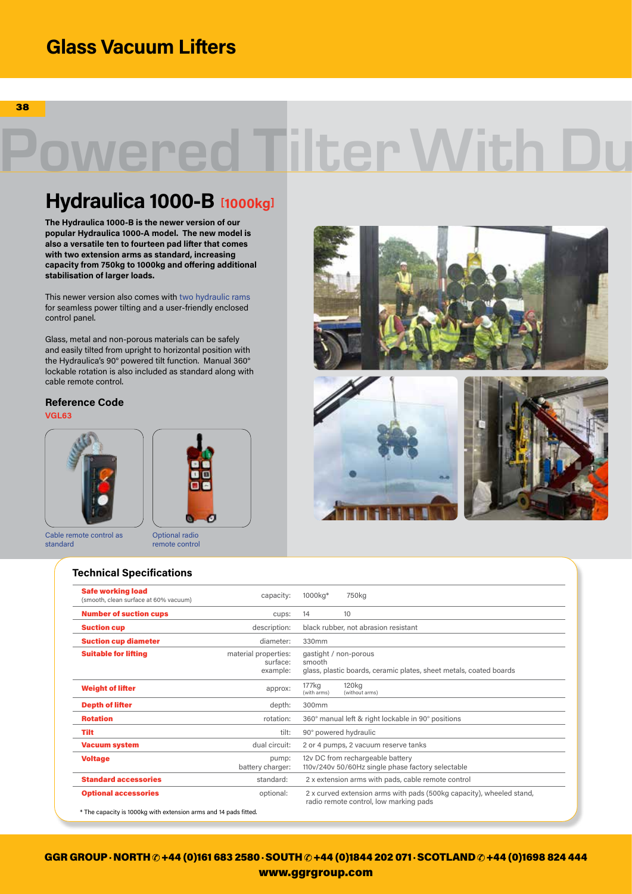## **Glass Vacuum Lifters**

38

# owered Tilter With Du

## **Hydraulica 1000-B [1000kg]**

**The Hydraulica 1000-B is the newer version of our popular Hydraulica 1000-A model. The new model is also a versatile ten to fourteen pad lifter that comes with two extension arms as standard, increasing capacity from 750kg to 1000kg and offering additional stabilisation of larger loads.** 

This newer version also comes with two hydraulic rams for seamless power tilting and a user-friendly enclosed control panel.

Glass, metal and non-porous materials can be safely and easily tilted from upright to horizontal position with the Hydraulica's 90° powered tilt function. Manual 360° lockable rotation is also included as standard along with cable remote control.

**Reference Code**

**VGL63**



Cable remote control as standard



#### **Technical Specifications**



| <b>Safe working load</b><br>(smooth, clean surface at 60% vacuum) | capacity:                                    | 1000kg*                                                                                                        | 750kg                                                                                       |
|-------------------------------------------------------------------|----------------------------------------------|----------------------------------------------------------------------------------------------------------------|---------------------------------------------------------------------------------------------|
| <b>Number of suction cups</b>                                     | cups:                                        | 14                                                                                                             | 10                                                                                          |
| <b>Suction cup</b>                                                | description:                                 | black rubber, not abrasion resistant                                                                           |                                                                                             |
| <b>Suction cup diameter</b>                                       | diameter:                                    | 330mm                                                                                                          |                                                                                             |
| <b>Suitable for lifting</b>                                       | material properties:<br>surface:<br>example: | smooth                                                                                                         | gastight / non-porous<br>glass, plastic boards, ceramic plates, sheet metals, coated boards |
| <b>Weight of lifter</b>                                           | approx:                                      | 177 <sub>kg</sub><br>(with arms)                                                                               | 120 <sub>kg</sub><br>(without arms)                                                         |
| <b>Depth of lifter</b>                                            | depth:                                       | 300mm                                                                                                          |                                                                                             |
| <b>Rotation</b>                                                   | rotation:                                    | 360° manual left & right lockable in 90° positions                                                             |                                                                                             |
| Tilt                                                              | tilt:                                        | 90° powered hydraulic                                                                                          |                                                                                             |
| <b>Vacuum system</b>                                              | dual circuit:                                | 2 or 4 pumps, 2 vacuum reserve tanks                                                                           |                                                                                             |
| <b>Voltage</b>                                                    | pump:<br>battery charger:                    | 12v DC from rechargeable battery<br>110v/240v 50/60Hz single phase factory selectable                          |                                                                                             |
| <b>Standard accessories</b>                                       | standard:                                    | 2 x extension arms with pads, cable remote control                                                             |                                                                                             |
| <b>Optional accessories</b>                                       | optional:                                    | 2 x curved extension arms with pads (500kg capacity), wheeled stand,<br>radio remote control, low marking pads |                                                                                             |

GGR GROUP · NORTH  $\oslash$  +44 (0)161 683 2580 · SOUTH  $\oslash$  +44 (0)1844 202 071 · SCOTLAND  $\oslash$  +44 (0)1698 824 444 www.ggrgroup.com www.ggrgroup.com